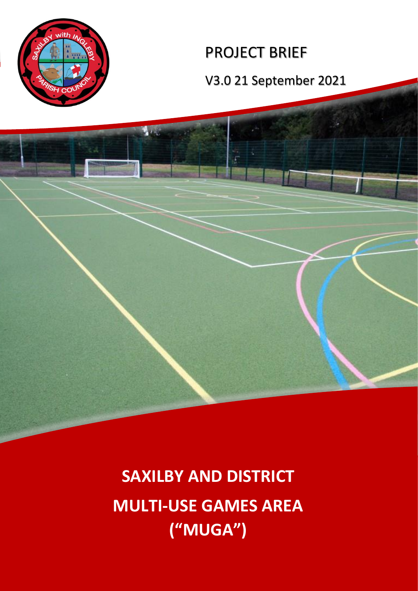

A.

# PROJECT BRIEF

V3.0 21 September 2021

**SAXILBY AND DISTRICT MULTI-USE GAMES AREA ("MUGA")**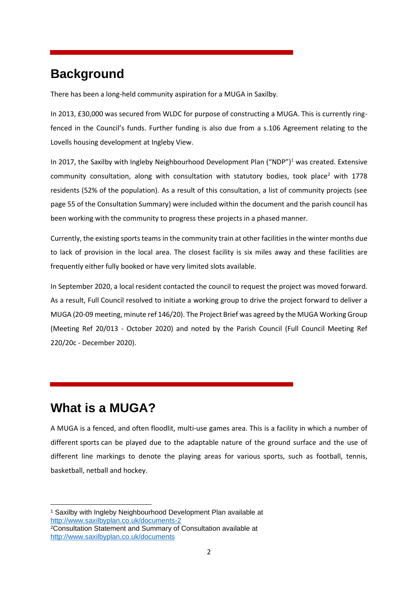# **Background**

There has been a long-held community aspiration for a MUGA in Saxilby.

In 2013, £30,000 was secured from WLDC for purpose of constructing a MUGA. This is currently ringfenced in the Council's funds. Further funding is also due from a s.106 Agreement relating to the Lovells housing development at Ingleby View.

In 2017, the Saxilby with Ingleby Neighbourhood Development Plan  $($ "NDP" $)$ <sup>1</sup> was created. Extensive community consultation, along with consultation with statutory bodies, took place<sup>2</sup> with 1778 residents (52% of the population). As a result of this consultation, a list of community projects (see page 55 of the Consultation Summary) were included within the document and the parish council has been working with the community to progress these projects in a phased manner.

Currently, the existing sports teams in the community train at other facilities in the winter months due to lack of provision in the local area. The closest facility is six miles away and these facilities are frequently either fully booked or have very limited slots available.

In September 2020, a local resident contacted the council to request the project was moved forward. As a result, Full Council resolved to initiate a working group to drive the project forward to deliver a MUGA (20-09 meeting, minute ref 146/20). The Project Brief was agreed by the MUGA Working Group (Meeting Ref 20/013 - October 2020) and noted by the Parish Council (Full Council Meeting Ref 220/20c - December 2020).

# **What is a MUGA?**

A MUGA is a fenced, and often floodlit, multi-use games area. This is a facility in which a number of different sports can be played due to the adaptable nature of the ground surface and the use of different line markings to denote the playing areas for various sports, such as football, tennis, basketball, netball and hockey.

<sup>1</sup> Saxilby with Ingleby Neighbourhood Development Plan available at <http://www.saxilbyplan.co.uk/documents-2>

<sup>2</sup>Consultation Statement and Summary of Consultation available at <http://www.saxilbyplan.co.uk/documents>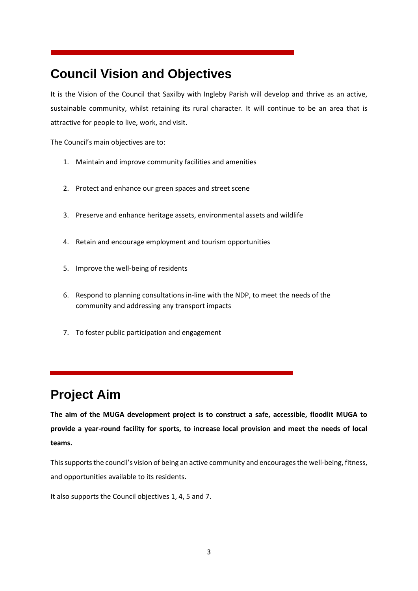# **Council Vision and Objectives**

It is the Vision of the Council that Saxilby with Ingleby Parish will develop and thrive as an active, sustainable community, whilst retaining its rural character. It will continue to be an area that is attractive for people to live, work, and visit.

The Council's main objectives are to:

- 1. Maintain and improve community facilities and amenities
- 2. Protect and enhance our green spaces and street scene
- 3. Preserve and enhance heritage assets, environmental assets and wildlife
- 4. Retain and encourage employment and tourism opportunities
- 5. Improve the well-being of residents
- 6. Respond to planning consultations in-line with the NDP, to meet the needs of the community and addressing any transport impacts
- 7. To foster public participation and engagement

# **Project Aim**

**The aim of the MUGA development project is to construct a safe, accessible, floodlit MUGA to provide a year-round facility for sports, to increase local provision and meet the needs of local teams.** 

This supports the council's vision of being an active community and encourages the well-being, fitness, and opportunities available to its residents.

It also supports the Council objectives 1, 4, 5 and 7.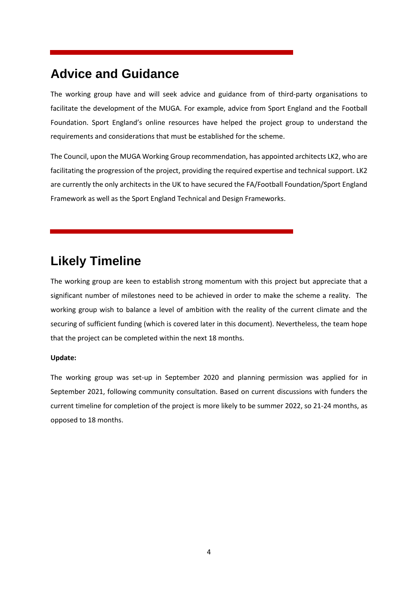# **Advice and Guidance**

The working group have and will seek advice and guidance from of third-party organisations to facilitate the development of the MUGA. For example, advice from Sport England and the Football Foundation. Sport England's online resources have helped the project group to understand the requirements and considerations that must be established for the scheme.

The Council, upon the MUGA Working Group recommendation, has appointed architects LK2, who are facilitating the progression of the project, providing the required expertise and technical support. LK2 are currently the only architects in the UK to have secured the FA/Football Foundation/Sport England Framework as well as the Sport England Technical and Design Frameworks.

# **Likely Timeline**

The working group are keen to establish strong momentum with this project but appreciate that a significant number of milestones need to be achieved in order to make the scheme a reality. The working group wish to balance a level of ambition with the reality of the current climate and the securing of sufficient funding (which is covered later in this document). Nevertheless, the team hope that the project can be completed within the next 18 months.

#### **Update:**

The working group was set-up in September 2020 and planning permission was applied for in September 2021, following community consultation. Based on current discussions with funders the current timeline for completion of the project is more likely to be summer 2022, so 21-24 months, as opposed to 18 months.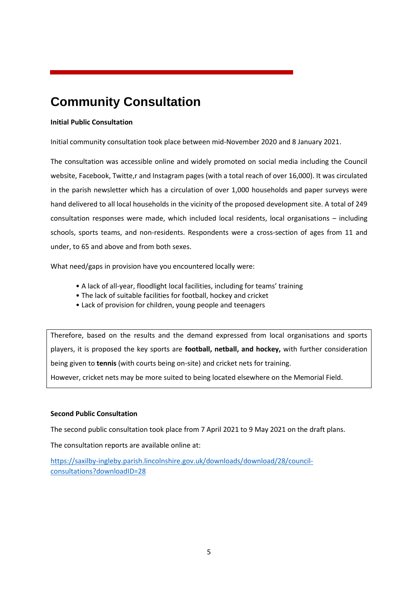# **Community Consultation**

#### **Initial Public Consultation**

Initial community consultation took place between mid-November 2020 and 8 January 2021.

The consultation was accessible online and widely promoted on social media including the Council website, Facebook, Twitte,r and Instagram pages (with a total reach of over 16,000). It was circulated in the parish newsletter which has a circulation of over 1,000 households and paper surveys were hand delivered to all local households in the vicinity of the proposed development site. A total of 249 consultation responses were made, which included local residents, local organisations – including schools, sports teams, and non-residents. Respondents were a cross-section of ages from 11 and under, to 65 and above and from both sexes.

What need/gaps in provision have you encountered locally were:

- A lack of all-year, floodlight local facilities, including for teams' training
- The lack of suitable facilities for football, hockey and cricket
- Lack of provision for children, young people and teenagers

Therefore, based on the results and the demand expressed from local organisations and sports players, it is proposed the key sports are **football, netball, and hockey,** with further consideration being given to **tennis** (with courts being on-site) and cricket nets for training.

However, cricket nets may be more suited to being located elsewhere on the Memorial Field.

#### **Second Public Consultation**

The second public consultation took place from 7 April 2021 to 9 May 2021 on the draft plans.

The consultation reports are available online at:

[https://saxilby-ingleby.parish.lincolnshire.gov.uk/downloads/download/28/council](https://saxilby-ingleby.parish.lincolnshire.gov.uk/downloads/download/28/council-consultations?downloadID=28)[consultations?downloadID=28](https://saxilby-ingleby.parish.lincolnshire.gov.uk/downloads/download/28/council-consultations?downloadID=28)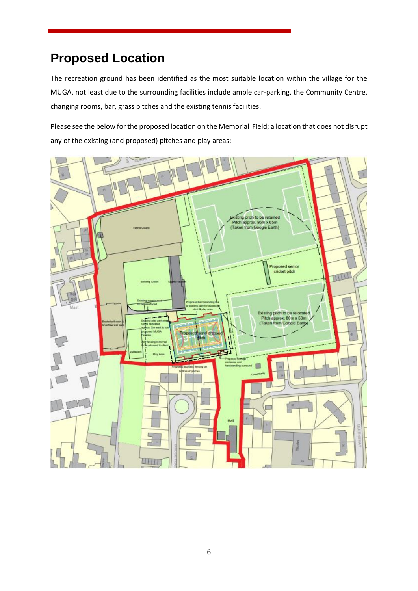# **Proposed Location**

The recreation ground has been identified as the most suitable location within the village for the MUGA, not least due to the surrounding facilities include ample car-parking, the Community Centre, changing rooms, bar, grass pitches and the existing tennis facilities.

Please see the below for the proposed location on the Memorial Field; a location that does not disrupt any of the existing (and proposed) pitches and play areas:

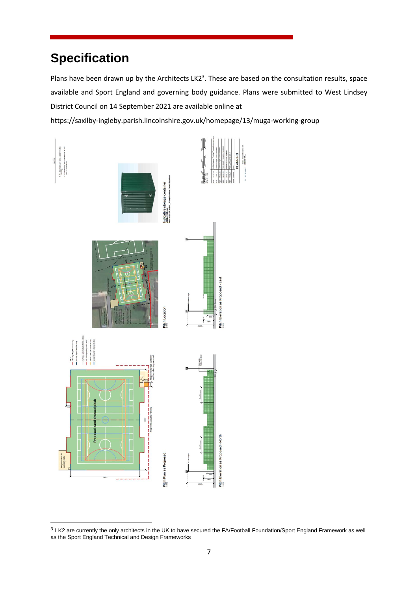# **Specification**

Plans have been drawn up by the Architects LK2<sup>3</sup>. These are based on the consultation results, space available and Sport England and governing body guidance. Plans were submitted to West Lindsey District Council on 14 September 2021 are available online at

https://saxilby-ingleby.parish.lincolnshire.gov.uk/homepage/13/muga-working-group



 $3$  LK2 are currently the only architects in the UK to have secured the FA/Football Foundation/Sport England Framework as well as the Sport England Technical and Design Frameworks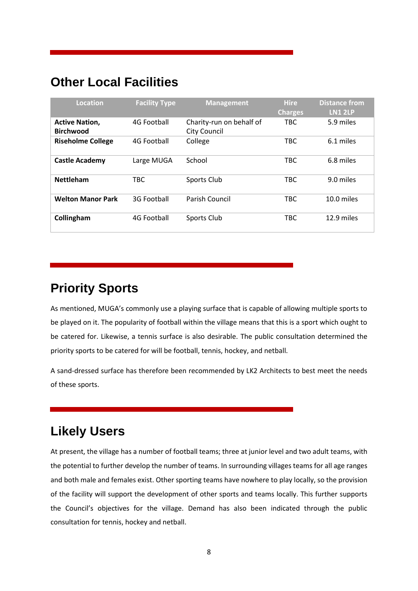### **Other Local Facilities**

| Location                                  | <b>Facility Type</b> | <b>Management</b>                               | <b>Hire</b><br><b>Charges</b> | <b>Distance from</b><br><b>LN1 2LP</b> |
|-------------------------------------------|----------------------|-------------------------------------------------|-------------------------------|----------------------------------------|
| <b>Active Nation,</b><br><b>Birchwood</b> | 4G Football          | Charity-run on behalf of<br><b>City Council</b> | TBC                           | 5.9 miles                              |
| <b>Riseholme College</b>                  | 4G Football          | College                                         | <b>TBC</b>                    | 6.1 miles                              |
| <b>Castle Academy</b>                     | Large MUGA           | School                                          | <b>TBC</b>                    | 6.8 miles                              |
| <b>Nettleham</b>                          | <b>TBC</b>           | Sports Club                                     | <b>TBC</b>                    | 9.0 miles                              |
| <b>Welton Manor Park</b>                  | 3G Football          | Parish Council                                  | <b>TBC</b>                    | 10.0 miles                             |
| Collingham                                | 4G Football          | Sports Club                                     | <b>TBC</b>                    | 12.9 miles                             |

#### **Priority Sports**

As mentioned, MUGA's commonly use a playing surface that is capable of allowing multiple sports to be played on it. The popularity of football within the village means that this is a sport which ought to be catered for. Likewise, a tennis surface is also desirable. The public consultation determined the priority sports to be catered for will be football, tennis, hockey, and netball.

A sand-dressed surface has therefore been recommended by LK2 Architects to best meet the needs of these sports.

# **Likely Users**

At present, the village has a number of football teams; three at junior level and two adult teams, with the potential to further develop the number of teams. In surrounding villages teams for all age ranges and both male and females exist. Other sporting teams have nowhere to play locally, so the provision of the facility will support the development of other sports and teams locally. This further supports the Council's objectives for the village. Demand has also been indicated through the public consultation for tennis, hockey and netball.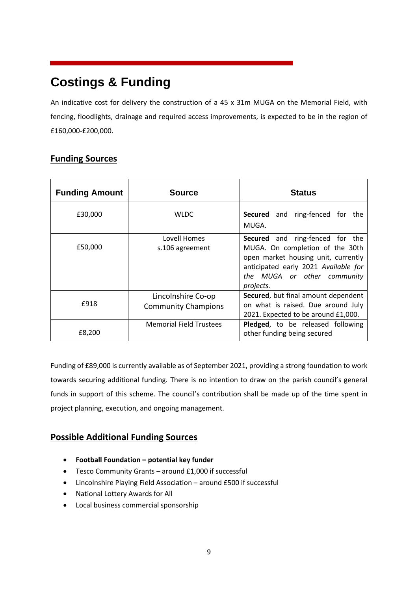# **Costings & Funding**

An indicative cost for delivery the construction of a 45 x 31m MUGA on the Memorial Field, with fencing, floodlights, drainage and required access improvements, is expected to be in the region of £160,000-£200,000.

#### **Funding Sources**

| <b>Funding Amount</b> | <b>Source</b>                                    | <b>Status</b>                                                                                                                                                                                        |  |  |
|-----------------------|--------------------------------------------------|------------------------------------------------------------------------------------------------------------------------------------------------------------------------------------------------------|--|--|
| £30,000               | <b>WLDC</b>                                      | <b>Secured</b> and ring-fenced for the<br>MUGA.                                                                                                                                                      |  |  |
| £50,000               | Lovell Homes<br>s.106 agreement                  | <b>Secured</b> and ring-fenced for the<br>MUGA. On completion of the 30th<br>open market housing unit, currently<br>anticipated early 2021 Available for<br>the MUGA or other community<br>projects. |  |  |
| £918                  | Lincolnshire Co-op<br><b>Community Champions</b> | Secured, but final amount dependent<br>on what is raised. Due around July<br>2021. Expected to be around £1,000.                                                                                     |  |  |
| £8,200                | <b>Memorial Field Trustees</b>                   | Pledged, to be released following<br>other funding being secured                                                                                                                                     |  |  |

Funding of £89,000 is currently available as of September 2021, providing a strong foundation to work towards securing additional funding. There is no intention to draw on the parish council's general funds in support of this scheme. The council's contribution shall be made up of the time spent in project planning, execution, and ongoing management.

#### **Possible Additional Funding Sources**

- **Football Foundation – potential key funder**
- Tesco Community Grants around £1,000 if successful
- Lincolnshire Playing Field Association around £500 if successful
- National Lottery Awards for All
- Local business commercial sponsorship